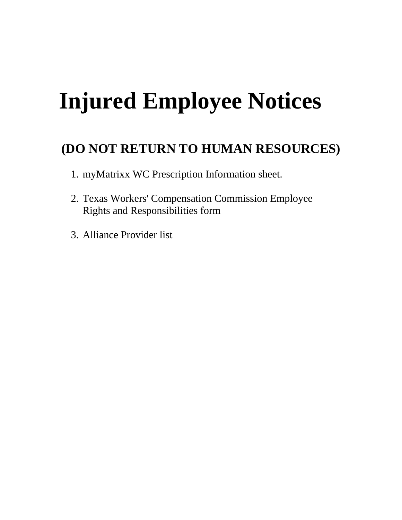# **Injured Employee Notices**

# **(DO NOT RETURN TO HUMAN RESOURCES)**

- 1. myMatrixx WC Prescription Information sheet.
- 2. Texas Workers' Compensation Commission Employee Rights and Responsibilities form
- 3. Alliance Provider list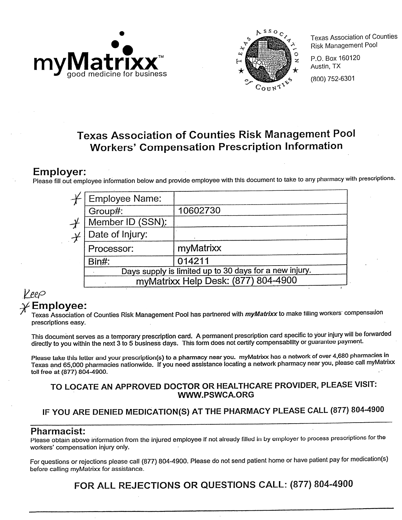



**Texas Association of Counties Risk Management Pool** 

P.O. Box 160120 Austin, TX (800) 752-6301

# **Texas Association of Counties Risk Management Pool Workers' Compensation Prescription Information**

## **Employer:**

Please fill out employee information below and provide employee with this document to take to any pharmacy with prescriptions.

| <b>Employee Name:</b>                                  |           |  |
|--------------------------------------------------------|-----------|--|
| Group#:                                                | 10602730  |  |
| Member ID (SSN):                                       |           |  |
| Date of Injury:                                        |           |  |
| Processor:                                             | myMatrixx |  |
| Bin#:                                                  | 014211    |  |
| Days supply is limited up to 30 days for a new injury. |           |  |
| myMatrixx Help Desk: (877) 804-4900                    |           |  |
|                                                        |           |  |

### V ee $\varphi$ Employee:

Texas Association of Counties Risk Management Pool has partnered with *myMatrixx* to make filling workers´ compensation prescriptions easy.

This document serves as a temporary prescription card. A permanent prescription card specific to your injury will be forwarded directly to you within the next 3 to 5 business days. This form does not certify compensability or guarantee payment.

Please take this letter and your prescription(s) to a pharmacy near you. myMatrixx has a network of over 4,680 pharmacies in Texas and 65,000 pharmacies nationwide. If you need assistance locating a network pharmacy near you, please call myMatrixx toll free at (877) 804-4900.

#### TO LOCATE AN APPROVED DOCTOR OR HEALTHCARE PROVIDER, PLEASE VISIT: **WWW.PSWCA.ORG**

# IF YOU ARE DENIED MEDICATION(S) AT THE PHARMACY PLEASE CALL (877) 804-4900

#### **Pharmacist:**

Please obtain above information from the injured employee if not already filled in by employer to process prescriptions for the workers' compensation injury only.

For questions or rejections please call (877) 804-4900. Please do not send patient home or have patient pay for medication(s) before calling myMatrixx for assistance.

FOR ALL REJECTIONS OR QUESTIONS CALL: (877) 804-4900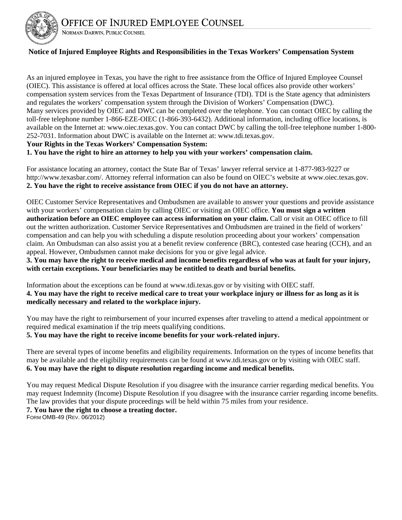

#### **Notice of Injured Employee Rights and Responsibilities in the Texas Workers' Compensation System**

As an injured employee in Texas, you have the right to free assistance from the Office of Injured Employee Counsel (OIEC). This assistance is offered at local offices across the State. These local offices also provide other workers' compensation system services from the Texas Department of Insurance (TDI). TDI is the State agency that administers and regulates the workers' compensation system through the Division of Workers' Compensation (DWC). Many services provided by OIEC and DWC can be completed over the telephone. You can contact OIEC by calling the toll-free telephone number 1-866-EZE-OIEC (1-866-393-6432). Additional information, including office locations, is available on the Internet at: www.oiec.texas.gov. You can contact DWC by calling the toll-free telephone number 1-800- 252-7031. Information about DWC is available on the Internet at: www.tdi.texas.gov.

#### **Your Rights in the Texas Workers' Compensation System:**

NORMAN DARWIN, PUBLIC COUNSEL

**1. You have the right to hire an attorney to help you with your workers' compensation claim.** 

For assistance locating an attorney, contact the State Bar of Texas' lawyer referral service at 1-877-983-9227 or http://www.texasbar.com/. Attorney referral information can also be found on OIEC's website at www.oiec.texas.gov. **2. You have the right to receive assistance from OIEC if you do not have an attorney.** 

OIEC Customer Service Representatives and Ombudsmen are available to answer your questions and provide assistance with your workers' compensation claim by calling OIEC or visiting an OIEC office. **You must sign a written authorization before an OIEC employee can access information on your claim.** Call or visit an OIEC office to fill out the written authorization. Customer Service Representatives and Ombudsmen are trained in the field of workers' compensation and can help you with scheduling a dispute resolution proceeding about your workers' compensation claim. An Ombudsman can also assist you at a benefit review conference (BRC), contested case hearing (CCH), and an appeal. However, Ombudsmen cannot make decisions for you or give legal advice.

**3. You may have the right to receive medical and income benefits regardless of who was at fault for your injury, with certain exceptions. Your beneficiaries may be entitled to death and burial benefits.** 

Information about the exceptions can be found at www.tdi.texas.gov or by visiting with OIEC staff. **4. You may have the right to receive medical care to treat your workplace injury or illness for as long as it is medically necessary and related to the workplace injury.** 

You may have the right to reimbursement of your incurred expenses after traveling to attend a medical appointment or required medical examination if the trip meets qualifying conditions.

#### **5. You may have the right to receive income benefits for your work-related injury.**

There are several types of income benefits and eligibility requirements. Information on the types of income benefits that may be available and the eligibility requirements can be found at www.tdi.texas.gov or by visiting with OIEC staff. **6. You may have the right to dispute resolution regarding income and medical benefits.** 

You may request Medical Dispute Resolution if you disagree with the insurance carrier regarding medical benefits. You may request Indemnity (Income) Dispute Resolution if you disagree with the insurance carrier regarding income benefits. The law provides that your dispute proceedings will be held within 75 miles from your residence. **7. You have the right to choose a treating doctor.** 

FORM OMB-49 (REV. 06/2012)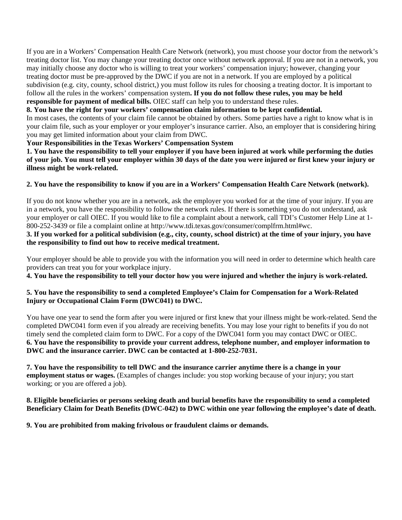If you are in a Workers' Compensation Health Care Network (network), you must choose your doctor from the network's treating doctor list. You may change your treating doctor once without network approval. If you are not in a network, you may initially choose any doctor who is willing to treat your workers' compensation injury; however, changing your treating doctor must be pre-approved by the DWC if you are not in a network. If you are employed by a political subdivision (e.g. city, county, school district,) you must follow its rules for choosing a treating doctor. It is important to follow all the rules in the workers' compensation system**. If you do not follow these rules, you may be held responsible for payment of medical bills.** OIEC staff can help you to understand these rules.

#### **8. You have the right for your workers' compensation claim information to be kept confidential.**

In most cases, the contents of your claim file cannot be obtained by others. Some parties have a right to know what is in your claim file, such as your employer or your employer's insurance carrier. Also, an employer that is considering hiring you may get limited information about your claim from DWC.

#### **Your Responsibilities in the Texas Workers' Compensation System**

**1. You have the responsibility to tell your employer if you have been injured at work while performing the duties of your job. You must tell your employer within 30 days of the date you were injured or first knew your injury or illness might be work-related.** 

#### **2. You have the responsibility to know if you are in a Workers' Compensation Health Care Network (network).**

If you do not know whether you are in a network, ask the employer you worked for at the time of your injury. If you are in a network, you have the responsibility to follow the network rules. If there is something you do not understand, ask your employer or call OIEC. If you would like to file a complaint about a network, call TDI's Customer Help Line at 1- 800-252-3439 or file a complaint online at http://www.tdi.texas.gov/consumer/complfrm.html#wc.

#### **3. If you worked for a political subdivision (e.g., city, county, school district) at the time of your injury, you have the responsibility to find out how to receive medical treatment.**

Your employer should be able to provide you with the information you will need in order to determine which health care providers can treat you for your workplace injury.

**4. You have the responsibility to tell your doctor how you were injured and whether the injury is work-related.** 

#### **5. You have the responsibility to send a completed Employee's Claim for Compensation for a Work-Related Injury or Occupational Claim Form (DWC041) to DWC.**

You have one year to send the form after you were injured or first knew that your illness might be work-related. Send the completed DWC041 form even if you already are receiving benefits. You may lose your right to benefits if you do not timely send the completed claim form to DWC. For a copy of the DWC041 form you may contact DWC or OIEC. **6. You have the responsibility to provide your current address, telephone number, and employer information to DWC and the insurance carrier. DWC can be contacted at 1-800-252-7031.** 

**7. You have the responsibility to tell DWC and the insurance carrier anytime there is a change in your employment status or wages.** (Examples of changes include: you stop working because of your injury; you start working; or you are offered a job).

#### **8. Eligible beneficiaries or persons seeking death and burial benefits have the responsibility to send a completed Beneficiary Claim for Death Benefits (DWC-042) to DWC within one year following the employee's date of death.**

**9. You are prohibited from making frivolous or fraudulent claims or demands.**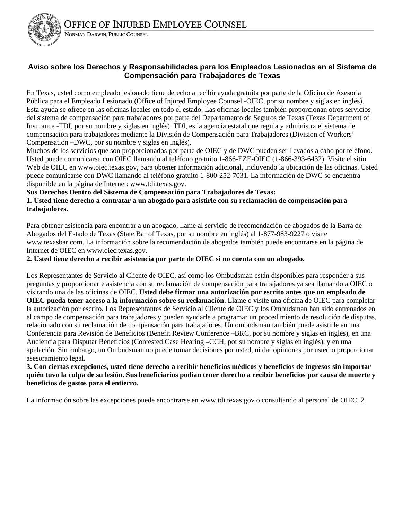

#### **Aviso sobre los Derechos y Responsabilidades para los Empleados Lesionados en el Sistema de Compensación para Trabajadores de Texas**

En Texas, usted como empleado lesionado tiene derecho a recibir ayuda gratuita por parte de la Oficina de Asesoría Pública para el Empleado Lesionado (Office of Injured Employee Counsel -OIEC, por su nombre y siglas en inglés). Esta ayuda se ofrece en las oficinas locales en todo el estado. Las oficinas locales también proporcionan otros servicios del sistema de compensación para trabajadores por parte del Departamento de Seguros de Texas (Texas Department of Insurance -TDI, por su nombre y siglas en inglés). TDI, es la agencia estatal que regula y administra el sistema de compensación para trabajadores mediante la División de Compensación para Trabajadores (Division of Workers' Compensation –DWC, por su nombre y siglas en inglés).

Muchos de los servicios que son proporcionados por parte de OIEC y de DWC pueden ser llevados a cabo por teléfono. Usted puede comunicarse con OIEC llamando al teléfono gratuito 1-866-EZE-OIEC (1-866-393-6432). Visite el sitio Web de OIEC en www.oiec.texas.gov, para obtener información adicional, incluyendo la ubicación de las oficinas. Usted puede comunicarse con DWC llamando al teléfono gratuito 1-800-252-7031. La información de DWC se encuentra disponible en la página de Internet: www.tdi.texas.gov.

#### **Sus Derechos Dentro del Sistema de Compensación para Trabajadores de Texas:**

**1. Usted tiene derecho a contratar a un abogado para asistirle con su reclamación de compensación para trabajadores.** 

Para obtener asistencia para encontrar a un abogado, llame al servicio de recomendación de abogados de la Barra de Abogados del Estado de Texas (State Bar of Texas, por su nombre en inglés) al 1-877-983-9227 o visite www.texasbar.com. La información sobre la recomendación de abogados también puede encontrarse en la página de Internet de OIEC en www.oiec.texas.gov.

**2. Usted tiene derecho a recibir asistencia por parte de OIEC si no cuenta con un abogado.** 

Los Representantes de Servicio al Cliente de OIEC, así como los Ombudsman están disponibles para responder a sus preguntas y proporcionarle asistencia con su reclamación de compensación para trabajadores ya sea llamando a OIEC o visitando una de las oficinas de OIEC. **Usted debe firmar una autorización por escrito antes que un empleado de OIEC pueda tener acceso a la información sobre su reclamación.** Llame o visite una oficina de OIEC para completar la autorización por escrito. Los Representantes de Servicio al Cliente de OIEC y los Ombudsman han sido entrenados en el campo de compensación para trabajadores y pueden ayudarle a programar un procedimiento de resolución de disputas, relacionado con su reclamación de compensación para trabajadores. Un ombudsman también puede asistirle en una Conferencia para Revisión de Beneficios (Benefit Review Conference –BRC, por su nombre y siglas en inglés), en una Audiencia para Disputar Beneficios (Contested Case Hearing –CCH, por su nombre y siglas en inglés), y en una apelación. Sin embargo, un Ombudsman no puede tomar decisiones por usted, ni dar opiniones por usted o proporcionar asesoramiento legal.

**3. Con ciertas excepciones, usted tiene derecho a recibir beneficios médicos y beneficios de ingresos sin importar quién tuvo la culpa de su lesión. Sus beneficiarios podían tener derecho a recibir beneficios por causa de muerte y beneficios de gastos para el entierro.** 

La información sobre las excepciones puede encontrarse en www.tdi.texas.gov o consultando al personal de OIEC. 2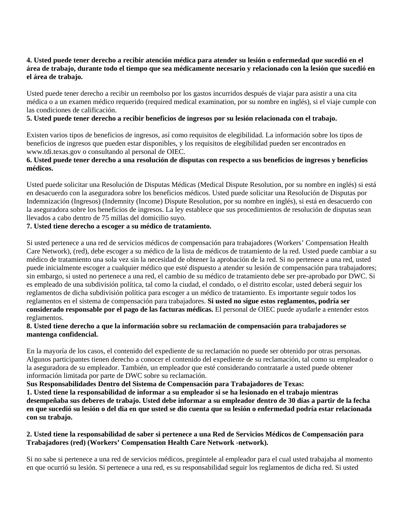#### **4. Usted puede tener derecho a recibir atención médica para atender su lesión o enfermedad que sucedió en el área de trabajo, durante todo el tiempo que sea médicamente necesario y relacionado con la lesión que sucedió en el área de trabajo.**

Usted puede tener derecho a recibir un reembolso por los gastos incurridos después de viajar para asistir a una cita médica o a un examen médico requerido (required medical examination, por su nombre en inglés), si el viaje cumple con las condiciones de calificación.

#### **5. Usted puede tener derecho a recibir beneficios de ingresos por su lesión relacionada con el trabajo.**

Existen varios tipos de beneficios de ingresos, así como requisitos de elegibilidad. La información sobre los tipos de beneficios de ingresos que pueden estar disponibles, y los requisitos de elegibilidad pueden ser encontrados en www.tdi.texas.gov o consultando al personal de OIEC.

#### **6. Usted puede tener derecho a una resolución de disputas con respecto a sus beneficios de ingresos y beneficios médicos.**

Usted puede solicitar una Resolución de Disputas Médicas (Medical Dispute Resolution, por su nombre en inglés) si está en desacuerdo con la aseguradora sobre los beneficios médicos. Usted puede solicitar una Resolución de Disputas por Indemnización (Ingresos) (Indemnity (Income) Dispute Resolution, por su nombre en inglés), si está en desacuerdo con la aseguradora sobre los beneficios de ingresos. La ley establece que sus procedimientos de resolución de disputas sean llevados a cabo dentro de 75 millas del domicilio suyo.

#### **7. Usted tiene derecho a escoger a su médico de tratamiento.**

Si usted pertenece a una red de servicios médicos de compensación para trabajadores (Workers' Compensation Health Care Network), (red), debe escoger a su médico de la lista de médicos de tratamiento de la red. Usted puede cambiar a su médico de tratamiento una sola vez sin la necesidad de obtener la aprobación de la red. Si no pertenece a una red, usted puede inicialmente escoger a cualquier médico que esté dispuesto a atender su lesión de compensación para trabajadores; sin embargo, si usted no pertenece a una red, el cambio de su médico de tratamiento debe ser pre-aprobado por DWC. Si es empleado de una subdivisión política, tal como la ciudad, el condado, o el distrito escolar, usted deberá seguir los reglamentos de dicha subdivisión política para escoger a un médico de tratamiento. Es importante seguir todos los reglamentos en el sistema de compensación para trabajadores. **Si usted no sigue estos reglamentos, podría ser considerado responsable por el pago de las facturas médicas.** El personal de OIEC puede ayudarle a entender estos reglamentos.

#### **8. Usted tiene derecho a que la información sobre su reclamación de compensación para trabajadores se mantenga confidencial.**

En la mayoría de los casos, el contenido del expediente de su reclamación no puede ser obtenido por otras personas. Algunos participantes tienen derecho a conocer el contenido del expediente de su reclamación, tal como su empleador o la aseguradora de su empleador. También, un empleador que esté considerando contratarle a usted puede obtener información limitada por parte de DWC sobre su reclamación.

#### **Sus Responsabilidades Dentro del Sistema de Compensación para Trabajadores de Texas:**

**1. Usted tiene la responsabilidad de informar a su empleador si se ha lesionado en el trabajo mientras desempeñaba sus deberes de trabajo. Usted debe informar a su empleador dentro de 30 días a partir de la fecha en que sucedió su lesión o del día en que usted se dio cuenta que su lesión o enfermedad podría estar relacionada con su trabajo.** 

#### **2. Usted tiene la responsabilidad de saber si pertenece a una Red de Servicios Médicos de Compensación para Trabajadores (red) (Workers' Compensation Health Care Network -network).**

Si no sabe si pertenece a una red de servicios médicos, pregúntele al empleador para el cual usted trabajaba al momento en que ocurrió su lesión. Si pertenece a una red, es su responsabilidad seguir los reglamentos de dicha red. Si usted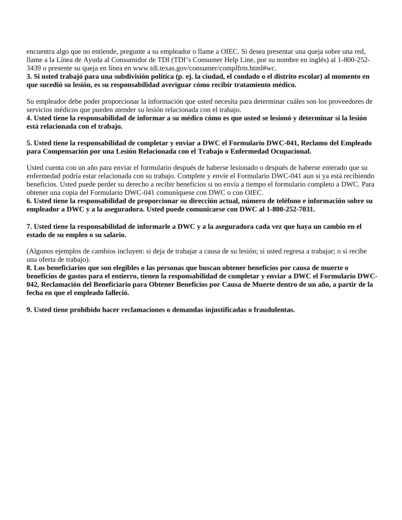encuentra algo que no entiende, pregunte a su empleador o llame a OIEC. Si desea presentar una queja sobre una red, llame a la Línea de Ayuda al Consumidor de TDI (TDI's Consumer Help Line, por su nombre en inglés) al 1-800-252- 3439 o presente su queja en línea en www.tdi.texas.gov/consumer/complfrm.html#wc.

#### **3. Si usted trabajó para una subdivisión política (p. ej. la ciudad, el condado o el distrito escolar) al momento en que sucedió su lesión, es su responsabilidad averiguar cómo recibir tratamiento médico.**

Su empleador debe poder proporcionar la información que usted necesita para determinar cuáles son los proveedores de servicios médicos que pueden atender su lesión relacionada con el trabajo.

#### **4. Usted tiene la responsabilidad de informar a su médico cómo es que usted se lesionó y determinar si la lesión está relacionada con el trabajo.**

#### **5. Usted tiene la responsabilidad de completar y enviar a DWC el Formulario DWC-041, Reclamo del Empleado para Compensación por una Lesión Relacionada con el Trabajo o Enfermedad Ocupacional.**

Usted cuenta con un año para enviar el formulario después de haberse lesionado o después de haberse enterado que su enfermedad podría estar relacionada con su trabajo. Complete y envíe el Formulario DWC-041 aun si ya está recibiendo beneficios. Usted puede perder su derecho a recibir beneficios si no envía a tiempo el formulario completo a DWC. Para obtener una copia del Formulario DWC-041 comuníquese con DWC o con OIEC.

**6. Usted tiene la responsabilidad de proporcionar su dirección actual, número de teléfono e información sobre su empleador a DWC y a la aseguradora. Usted puede comunicarse con DWC al 1-800-252-7031.** 

#### **7. Usted tiene la responsabilidad de informarle a DWC y a la aseguradora cada vez que haya un cambio en el estado de su empleo o su salario.**

(Algunos ejemplos de cambios incluyen: si deja de trabajar a causa de su lesión; si usted regresa a trabajar; o si recibe una oferta de trabajo).

**8. Los beneficiarios que son elegibles o las personas que buscan obtener beneficios por causa de muerte o beneficios de gastos para el entierro, tienen la responsabilidad de completar y enviar a DWC el Formulario DWC-042, Reclamación del Beneficiario para Obtener Beneficios por Causa de Muerte dentro de un año, a partir de la fecha en que el empleado falleció.** 

**9. Usted tiene prohibido hacer reclamaciones o demandas injustificadas o fraudulentas.**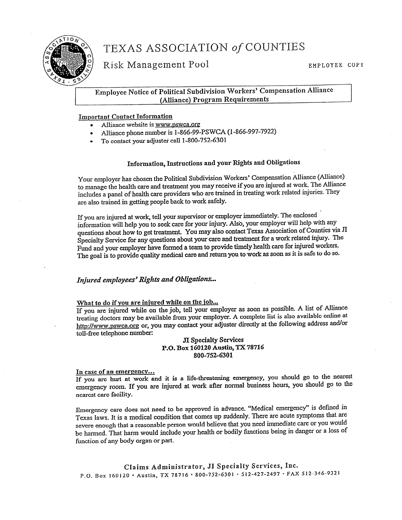

# TEXAS ASSOCIATION of COUNTIES

Risk Management Pool

#### Employee Notice of Political Subdivision Workers' Compensation Alliance (Alliance) Program Requirements

#### **Important Contact Information**

- Alliance website is www.pswca.org
- Alliance phone number is 1-866-99-PSWCA (1-866-997-7922)
- To contact your adjuster call 1-800-752-6301

#### Information, Instructions and your Rights and Obligations

Your employer has chosen the Political Subdivision Workers' Compensation Alliance (Alliance) to manage the health care and treatment you may receive if you are injured at work. The Alliance includes a panel of health care providers who are trained in treating work related injuries. They are also trained in getting people back to work safely.

If you are injured at work, tell your supervisor or employer immediately. The enclosed information will help you to seek care for your injury. Also, your employer will help with any questions about how to get treatment. You may also contact Texas Association of Counties via JI Specialty Service for any questions about your care and treatment for a work related injury. The Fund and your employer have formed a team to provide timely health care for injured workers. The goal is to provide quality medical care and return you to work as soon as it is safe to do so.

#### Injured employees' Rights and Obligations...

#### What to do if you are injured while on the job...

If you are injured while on the job, tell your employer as soon as possible. A list of Alliance treating doctors may be available from your employer. A complete list is also available online at http://www.pswca.org or, you may contact your adjuster directly at the following address and/or toll-free telephone number:

JI Specialty Services P.O. Box 160120 Austin, TX 78716 800-752-6301

#### In case of an emergency...

If you are hurt at work and it is a life-threatening emergency, you should go to the nearest emergency room. If you are injured at work after normal business hours, you should go to the nearest care facility.

Emergency care does not need to be approved in advance. "Medical emergency" is defined in Texas laws. It is a medical condition that comes up suddenly. There are acute symptoms that are severe enough that a reasonable person would believe that you need immediate care or you would be harmed. That harm would include your health or bodily functions being in danger or a loss of function of any body organ or part.

Claims Administrator, JI Specialty Services, Inc. P.O. Box 160120 · Austin, TX 78716 · 800-752-6301 · 512-427-2497 · FAX 512-346-9321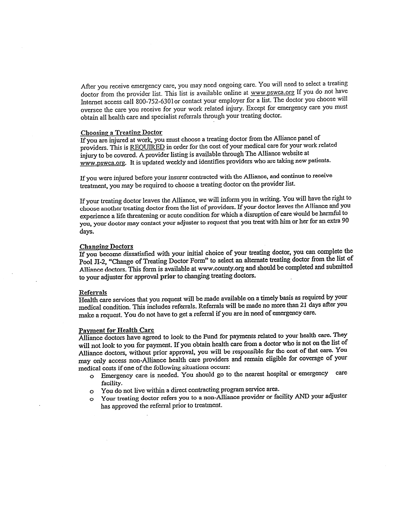After you receive emergency care, you may need ongoing care. You will need to select a treating doctor from the provider list. This list is available online at www.pswca.org If you do not have Internet access call 800-752-6301 or contact your employer for a list. The doctor you choose will oversee the care you receive for your work related injury. Except for emergency care you must obtain all health care and specialist referrals through your treating doctor.

#### **Choosing a Treating Doctor**

If you are injured at work, you must choose a treating doctor from the Alliance panel of providers. This is REQUIRED in order for the cost of your medical care for your work related injury to be covered. A provider listing is available through The Alliance website at www.pswca.org. It is updated weekly and identifies providers who are taking new patients.

If you were injured before your insurer contracted with the Alliance, and continue to receive treatment, you may be required to choose a treating doctor on the provider list.

If your treating doctor leaves the Alliance, we will inform you in writing. You will have the right to choose another treating doctor from the list of providers. If your doctor leaves the Alliance and you experience a life threatening or acute condition for which a disruption of care would be harmful to you, your doctor may contact your adjuster to request that you treat with him or her for an extra 90 days.

#### **Changing Doctors**

If you become dissatisfied with your initial choice of your treating doctor, you can complete the Pool JI-2, "Change of Treating Doctor Form" to select an alternate treating doctor from the list of Alliance doctors. This form is available at www.county.org and should be completed and submitted to your adjuster for approval prior to changing treating doctors.

#### Referrals

Health care services that you request will be made available on a timely basis as required by your medical condition. This includes referrals. Referrals will be made no more than 21 days after you make a request. You do not have to get a referral if you are in need of emergency care.

#### **Payment for Health Care**

Alliance doctors have agreed to look to the Fund for payments related to your health care. They will not look to you for payment. If you obtain health care from a doctor who is not on the list of Alliance doctors, without prior approval, you will be responsible for the cost of that care. You may only access non-Alliance health care providers and remain eligible for coverage of your medical costs if one of the following situations occurs:

- o Emergency care is needed. You should go to the nearest hospital or emergency care facility.
- o You do not live within a direct contracting program service area.
- O Your treating doctor refers you to a non-Alliance provider or facility AND your adjuster has approved the referral prior to treatment.